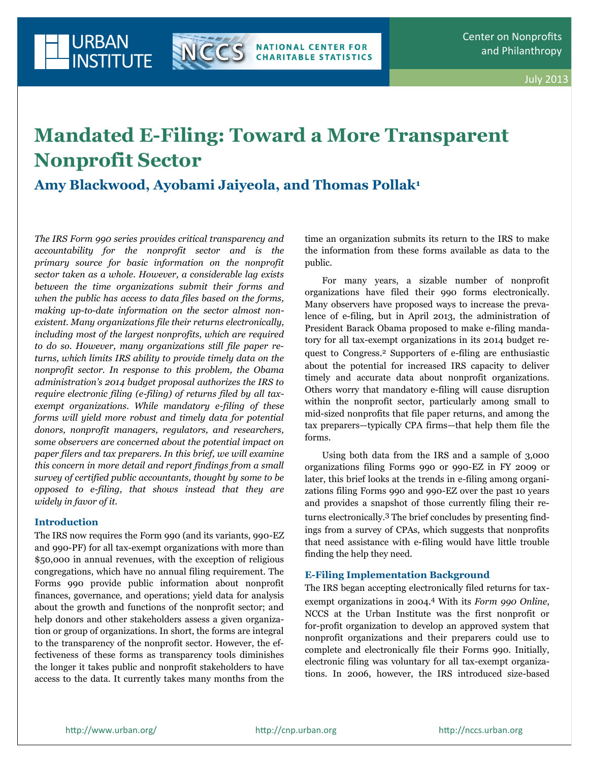

# **Mandated E-Filing: Toward a More Transparent Nonprofit Sector**

**Amy Blackwood, Ayobami Jaiyeola, and Thomas Pollak1**

*The IRS Form 990 series provides critical transparency and accountability for the nonprofit sector and is the primary source for basic information on the nonprofit sector taken as a whole. However, a considerable lag exists between the time organizations submit their forms and when the public has access to data files based on the forms, making up-to-date information on the sector almost nonexistent. Many organizations file their returns electronically, including most of the largest nonprofits, which are required to do so. However, many organizations still file paper returns, which limits IRS ability to provide timely data on the nonprofit sector. In response to this problem, the Obama administration's 2014 budget proposal authorizes the IRS to require electronic filing (e-filing) of returns filed by all taxexempt organizations. While mandatory e-filing of these forms will yield more robust and timely data for potential donors, nonprofit managers, regulators, and researchers, some observers are concerned about the potential impact on paper filers and tax preparers. In this brief, we will examine this concern in more detail and report findings from a small survey of certified public accountants, thought by some to be opposed to e-filing, that shows instead that they are widely in favor of it.*

## **Introduction**

The IRS now requires the Form 990 (and its variants, 990-EZ and 990-PF) for all tax-exempt organizations with more than \$50,000 in annual revenues, with the exception of religious congregations, which have no annual filing requirement. The Forms 990 provide public information about nonprofit finances, governance, and operations; yield data for analysis about the growth and functions of the nonprofit sector; and help donors and other stakeholders assess a given organization or group of organizations. In short, the forms are integral to the transparency of the nonprofit sector. However, the effectiveness of these forms as transparency tools diminishes the longer it takes public and nonprofit stakeholders to have access to the data. It currently takes many months from the time an organization submits its return to the IRS to make the information from these forms available as data to the public.

For many years, a sizable number of nonprofit organizations have filed their 990 forms electronically. Many observers have proposed ways to increase the prevalence of e-filing, but in April 2013, the administration of President Barack Obama proposed to make e-filing mandatory for all tax-exempt organizations in its 2014 budget request to Congress.<sup>2</sup> Supporters of e-filing are enthusiastic about the potential for increased IRS capacity to deliver timely and accurate data about nonprofit organizations. Others worry that mandatory e-filing will cause disruption within the nonprofit sector, particularly among small to mid-sized nonprofits that file paper returns, and among the tax preparers—typically CPA firms—that help them file the forms.

Using both data from the IRS and a sample of 3,000 organizations filing Forms 990 or 990-EZ in FY 2009 or later, this brief looks at the trends in e-filing among organizations filing Forms 990 and 990-EZ over the past 10 years and provides a snapshot of those currently filing their returns electronically.3 The brief concludes by presenting findings from a survey of CPAs, which suggests that nonprofits that need assistance with e-filing would have little trouble finding the help they need.

## **E-Filing Implementation Background**

The IRS began accepting electronically filed returns for taxexempt organizations in 2004.<sup>4</sup> With its *Form 990 Online*, NCCS at the Urban Institute was the first nonprofit or for-profit organization to develop an approved system that nonprofit organizations and their preparers could use to complete and electronically file their Forms 990. Initially, electronic filing was voluntary for all tax-exempt organizations. In 2006, however, the IRS introduced size-based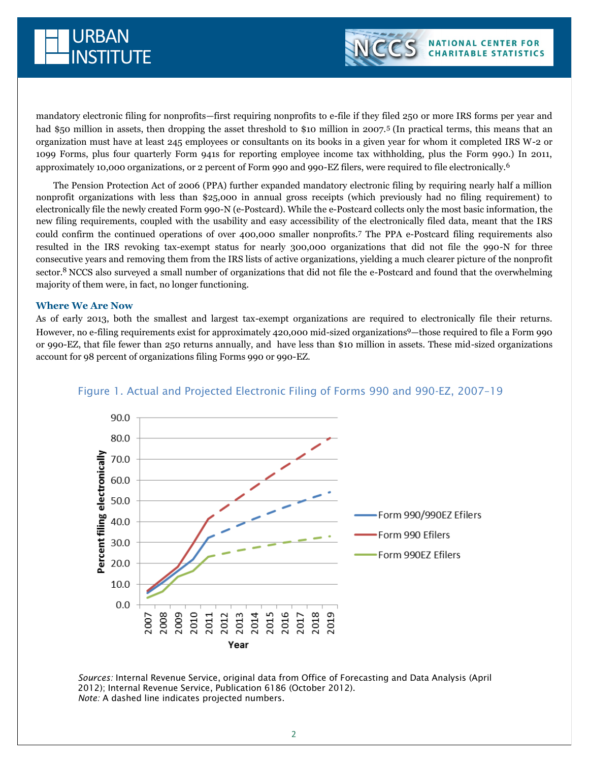



mandatory electronic filing for nonprofits—first requiring nonprofits to e-file if they filed 250 or more IRS forms per year and had \$50 million in assets, then dropping the asset threshold to \$10 million in 2007.<sup>5</sup> (In practical terms, this means that an organization must have at least 245 employees or consultants on its books in a given year for whom it completed IRS W-2 or 1099 Forms, plus four quarterly Form 941s for reporting employee income tax withholding, plus the Form 990.) In 2011, approximately 10,000 organizations, or 2 percent of Form 990 and 990-EZ filers, were required to file electronically.<sup>6</sup>

The Pension Protection Act of 2006 (PPA) further expanded mandatory electronic filing by requiring nearly half a million nonprofit organizations with less than \$25,000 in annual gross receipts (which previously had no filing requirement) to electronically file the newly created Form 990-N (e-Postcard). While the e-Postcard collects only the most basic information, the new filing requirements, coupled with the usability and easy accessibility of the electronically filed data, meant that the IRS could confirm the continued operations of over 400,000 smaller nonprofits.<sup>7</sup> The PPA e-Postcard filing requirements also resulted in the IRS revoking tax-exempt status for nearly 300,000 organizations that did not file the 990-N for three consecutive years and removing them from the IRS lists of active organizations, yielding a much clearer picture of the nonprofit sector.<sup>8</sup> NCCS also surveyed a small number of organizations that did not file the e-Postcard and found that the overwhelming majority of them were, in fact, no longer functioning.

#### **Where We Are Now**

As of early 2013, both the smallest and largest tax-exempt organizations are required to electronically file their returns. However, no e-filing requirements exist for approximately 420,000 mid-sized organizations9—those required to file a Form 990 or 990-EZ, that file fewer than 250 returns annually, and have less than \$10 million in assets. These mid-sized organizations account for 98 percent of organizations filing Forms 990 or 990-EZ.



## Figure 1. Actual and Projected Electronic Filing of Forms 990 and 990-EZ, 2007–19

*Sources:* Internal Revenue Service, original data from Office of Forecasting and Data Analysis (April 2012); Internal Revenue Service, Publication 6186 (October 2012). *Note:* A dashed line indicates projected numbers.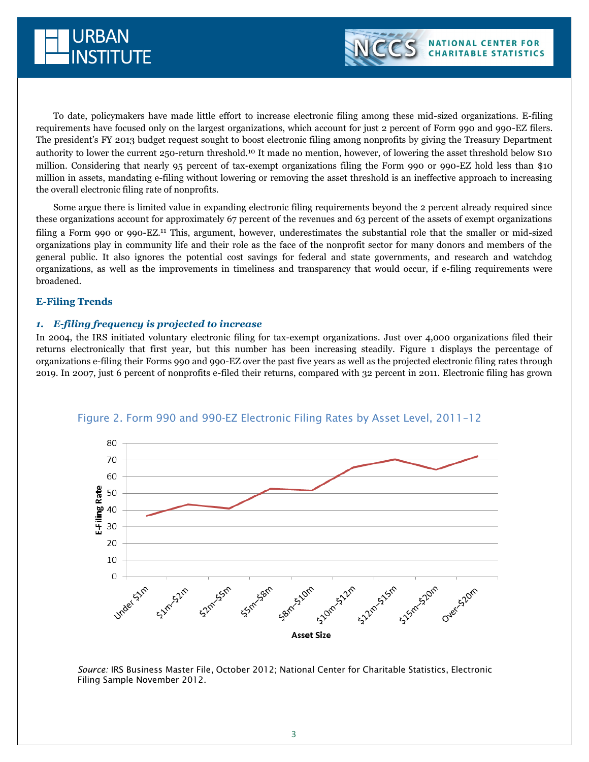



To date, policymakers have made little effort to increase electronic filing among these mid-sized organizations. E-filing requirements have focused only on the largest organizations, which account for just 2 percent of Form 990 and 990-EZ filers. The president's FY 2013 budget request sought to boost electronic filing among nonprofits by giving the Treasury Department authority to lower the current 250-return threshold.<sup>10</sup> It made no mention, however, of lowering the asset threshold below \$10 million. Considering that nearly 95 percent of tax-exempt organizations filing the Form 990 or 990-EZ hold less than \$10 million in assets, mandating e-filing without lowering or removing the asset threshold is an ineffective approach to increasing the overall electronic filing rate of nonprofits.

Some argue there is limited value in expanding electronic filing requirements beyond the 2 percent already required since these organizations account for approximately 67 percent of the revenues and 63 percent of the assets of exempt organizations filing a Form 990 or 990-EZ.<sup>11</sup> This, argument, however, underestimates the substantial role that the smaller or mid-sized organizations play in community life and their role as the face of the nonprofit sector for many donors and members of the general public. It also ignores the potential cost savings for federal and state governments, and research and watchdog organizations, as well as the improvements in timeliness and transparency that would occur, if e-filing requirements were broadened.

## **E-Filing Trends**

### *1. E-filing frequency is projected to increase*

In 2004, the IRS initiated voluntary electronic filing for tax-exempt organizations. Just over 4,000 organizations filed their returns electronically that first year, but this number has been increasing steadily. Figure 1 displays the percentage of organizations e-filing their Forms 990 and 990-EZ over the past five years as well as the projected electronic filing rates through 2019. In 2007, just 6 percent of nonprofits e-filed their returns, compared with 32 percent in 2011. Electronic filing has grown



## Figure 2. Form 990 and 990-EZ Electronic Filing Rates by Asset Level, 2011–12

*Source:* IRS Business Master File, October 2012; National Center for Charitable Statistics, Electronic Filing Sample November 2012.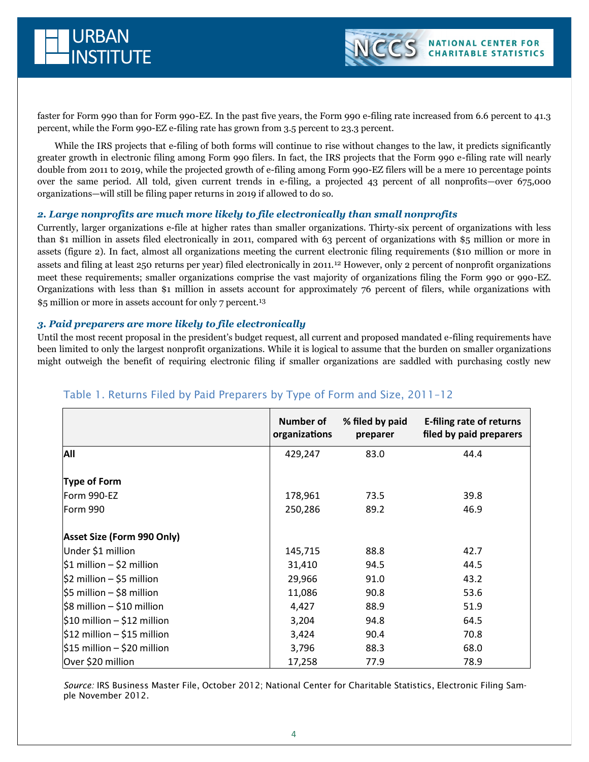



While the IRS projects that e-filing of both forms will continue to rise without changes to the law, it predicts significantly greater growth in electronic filing among Form 990 filers. In fact, the IRS projects that the Form 990 e-filing rate will nearly double from 2011 to 2019, while the projected growth of e-filing among Form 990-EZ filers will be a mere 10 percentage points over the same period. All told, given current trends in e-filing, a projected 43 percent of all nonprofits—over 675,000 organizations—will still be filing paper returns in 2019 if allowed to do so.

## *2. Large nonprofits are much more likely to file electronically than small nonprofits*

Currently, larger organizations e-file at higher rates than smaller organizations. Thirty-six percent of organizations with less than \$1 million in assets filed electronically in 2011, compared with 63 percent of organizations with \$5 million or more in assets (figure 2). In fact, almost all organizations meeting the current electronic filing requirements (\$10 million or more in assets and filing at least 250 returns per year) filed electronically in 2011.<sup>12</sup> However, only 2 percent of nonprofit organizations meet these requirements; smaller organizations comprise the vast majority of organizations filing the Form 990 or 990-EZ. Organizations with less than \$1 million in assets account for approximately 76 percent of filers, while organizations with \$5 million or more in assets account for only 7 percent.<sup>13</sup>

## *3. Paid preparers are more likely to file electronically*

Until the most recent proposal in the president's budget request, all current and proposed mandated e-filing requirements have been limited to only the largest nonprofit organizations. While it is logical to assume that the burden on smaller organizations might outweigh the benefit of requiring electronic filing if smaller organizations are saddled with purchasing costly new

|                                          | <b>Number of</b><br>organizations | % filed by paid<br>preparer | E-filing rate of returns<br>filed by paid preparers |
|------------------------------------------|-----------------------------------|-----------------------------|-----------------------------------------------------|
| All                                      | 429,247                           | 83.0                        | 44.4                                                |
| Type of Form                             |                                   |                             |                                                     |
| Form 990-EZ                              | 178,961                           | 73.5                        | 39.8                                                |
| Form 990                                 | 250,286                           | 89.2                        | 46.9                                                |
| <b>Asset Size (Form 990 Only)</b>        |                                   |                             |                                                     |
| Under \$1 million                        | 145,715                           | 88.8                        | 42.7                                                |
| $\frac{1}{2}$ million – \$2 million      | 31,410                            | 94.5                        | 44.5                                                |
| $ 52$ million – \$5 million              | 29,966                            | 91.0                        | 43.2                                                |
| $ 55$ million – \$8 million              | 11,086                            | 90.8                        | 53.6                                                |
| $\frac{1}{2}$ \$8 million – \$10 million | 4,427                             | 88.9                        | 51.9                                                |
| $\frac{1}{2}10$ million - \$12 million   | 3,204                             | 94.8                        | 64.5                                                |
| $\frac{1}{2}$ million – \$15 million     | 3,424                             | 90.4                        | 70.8                                                |
| $$15$ million - \$20 million             | 3,796                             | 88.3                        | 68.0                                                |
| Over \$20 million                        | 17,258                            | 77.9                        | 78.9                                                |

# Table 1. Returns Filed by Paid Preparers by Type of Form and Size, 2011–12

*Source:* IRS Business Master File, October 2012; National Center for Charitable Statistics, Electronic Filing Sample November 2012.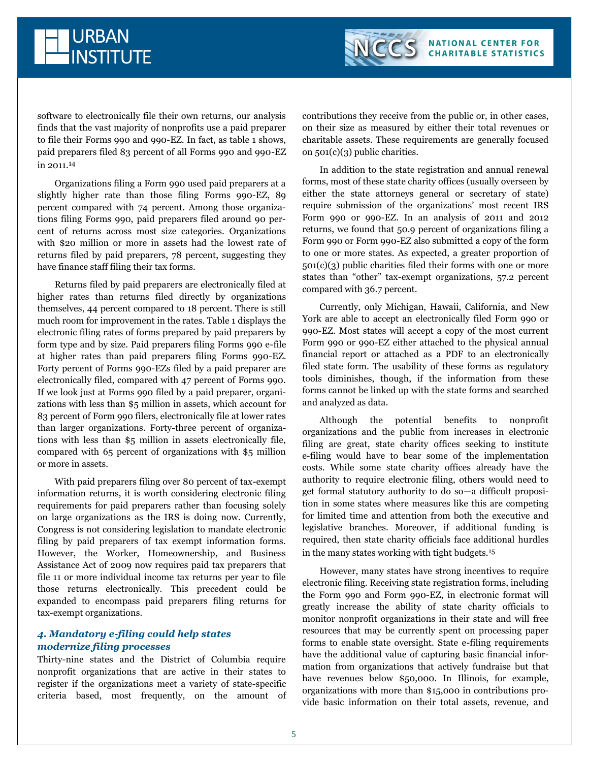software to electronically file their own returns, our analysis finds that the vast majority of nonprofits use a paid preparer to file their Forms 990 and 990-EZ. In fact, as table 1 shows, paid preparers filed 83 percent of all Forms 990 and 990-EZ in 2011.<sup>14</sup>

URBAN

**INSTITUTE** 

Organizations filing a Form 990 used paid preparers at a slightly higher rate than those filing Forms 990-EZ, 89 percent compared with 74 percent. Among those organizations filing Forms 990, paid preparers filed around 90 percent of returns across most size categories. Organizations with \$20 million or more in assets had the lowest rate of returns filed by paid preparers, 78 percent, suggesting they have finance staff filing their tax forms.

Returns filed by paid preparers are electronically filed at higher rates than returns filed directly by organizations themselves, 44 percent compared to 18 percent. There is still much room for improvement in the rates. Table 1 displays the electronic filing rates of forms prepared by paid preparers by form type and by size. Paid preparers filing Forms 990 e-file at higher rates than paid preparers filing Forms 990-EZ. Forty percent of Forms 990-EZs filed by a paid preparer are electronically filed, compared with 47 percent of Forms 990. If we look just at Forms 990 filed by a paid preparer, organizations with less than \$5 million in assets, which account for 83 percent of Form 990 filers, electronically file at lower rates than larger organizations. Forty-three percent of organizations with less than \$5 million in assets electronically file, compared with 65 percent of organizations with \$5 million or more in assets.

With paid preparers filing over 80 percent of tax-exempt information returns, it is worth considering electronic filing requirements for paid preparers rather than focusing solely on large organizations as the IRS is doing now. Currently, Congress is not considering legislation to mandate electronic filing by paid preparers of tax exempt information forms. However, the Worker, Homeownership, and Business Assistance Act of 2009 now requires paid tax preparers that file 11 or more individual income tax returns per year to file those returns electronically. This precedent could be expanded to encompass paid preparers filing returns for tax-exempt organizations.

# *4. Mandatory e-filing could help states modernize filing processes*

Thirty-nine states and the District of Columbia require nonprofit organizations that are active in their states to register if the organizations meet a variety of state-specific criteria based, most frequently, on the amount of contributions they receive from the public or, in other cases, on their size as measured by either their total revenues or charitable assets. These requirements are generally focused on 501(c)(3) public charities.

In addition to the state registration and annual renewal forms, most of these state charity offices (usually overseen by either the state attorneys general or secretary of state) require submission of the organizations' most recent IRS Form 990 or 990-EZ. In an analysis of 2011 and 2012 returns, we found that 50.9 percent of organizations filing a Form 990 or Form 990-EZ also submitted a copy of the form to one or more states. As expected, a greater proportion of 501(c)(3) public charities filed their forms with one or more states than "other" tax-exempt organizations, 57.2 percent compared with 36.7 percent.

Currently, only Michigan, Hawaii, California, and New York are able to accept an electronically filed Form 990 or 990-EZ. Most states will accept a copy of the most current Form 990 or 990-EZ either attached to the physical annual financial report or attached as a PDF to an electronically filed state form. The usability of these forms as regulatory tools diminishes, though, if the information from these forms cannot be linked up with the state forms and searched and analyzed as data.

Although the potential benefits to nonprofit organizations and the public from increases in electronic filing are great, state charity offices seeking to institute e-filing would have to bear some of the implementation costs. While some state charity offices already have the authority to require electronic filing, others would need to get formal statutory authority to do so—a difficult proposition in some states where measures like this are competing for limited time and attention from both the executive and legislative branches. Moreover, if additional funding is required, then state charity officials face additional hurdles in the many states working with tight budgets.<sup>15</sup>

However, many states have strong incentives to require electronic filing. Receiving state registration forms, including the Form 990 and Form 990-EZ, in electronic format will greatly increase the ability of state charity officials to monitor nonprofit organizations in their state and will free resources that may be currently spent on processing paper forms to enable state oversight. State e-filing requirements have the additional value of capturing basic financial information from organizations that actively fundraise but that have revenues below \$50,000. In Illinois, for example, organizations with more than \$15,000 in contributions provide basic information on their total assets, revenue, and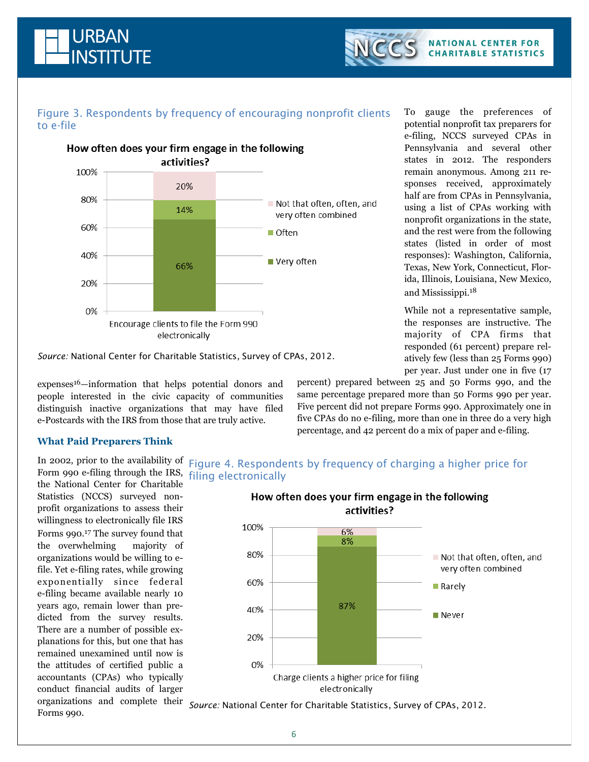



# Figure 3. Respondents by frequency of encouraging nonprofit clients to e-file



*Source:* National Center for Charitable Statistics, Survey of CPAs, 2012.

expenses16—information that helps potential donors and people interested in the civic capacity of communities distinguish inactive organizations that may have filed e-Postcards with the IRS from those that are truly active.

To gauge the preferences of potential nonprofit tax preparers for e-filing, NCCS surveyed CPAs in Pennsylvania and several other states in 2012. The responders remain anonymous. Among 211 responses received, approximately half are from CPAs in Pennsylvania, using a list of CPAs working with nonprofit organizations in the state, and the rest were from the following states (listed in order of most responses): Washington, California, Texas, New York, Connecticut, Florida, Illinois, Louisiana, New Mexico, and Mississippi.<sup>18</sup>

While not a representative sample, the responses are instructive. The majority of CPA firms that responded (61 percent) prepare relatively few (less than 25 Forms 990) per year. Just under one in five (17

percent) prepared between 25 and 50 Forms 990, and the same percentage prepared more than 50 Forms 990 per year. Five percent did not prepare Forms 990. Approximately one in five CPAs do no e-filing, more than one in three do a very high percentage, and 42 percent do a mix of paper and e-filing.

## **What Paid Preparers Think**

Form 990 e-filing through the IRS, filing electronically the National Center for Charitable Statistics (NCCS) surveyed nonprofit organizations to assess their willingness to electronically file IRS Forms 990.<sup>17</sup> The survey found that the overwhelming majority of organizations would be willing to efile. Yet e-filing rates, while growing exponentially since federal e-filing became available nearly 10 years ago, remain lower than predicted from the survey results. There are a number of possible explanations for this, but one that has remained unexamined until now is the attitudes of certified public a accountants (CPAs) who typically conduct financial audits of larger

In 2002, prior to the availability of Figure 4. Respondents by frequency of charging a higher price for



organizations and complete their *Source:* National Center for Charitable Statistics, Survey of CPAs, 2012.Forms 990.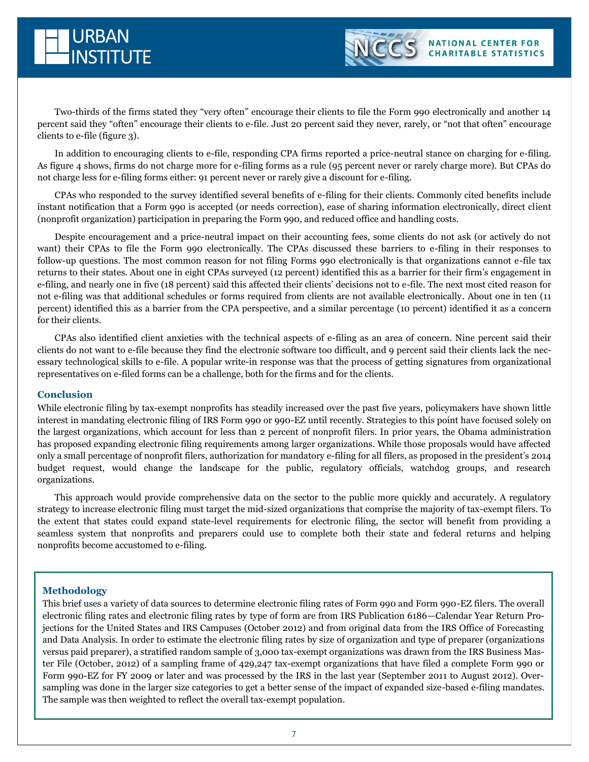



Two-thirds of the firms stated they "very often" encourage their clients to file the Form 990 electronically and another 14 percent said they "often" encourage their clients to e-file. Just 20 percent said they never, rarely, or "not that often" encourage clients to e-file (figure 3).

In addition to encouraging clients to e-file, responding CPA firms reported a price-neutral stance on charging for e-filing. As figure 4 shows, firms do not charge more for e-filing forms as a rule (95 percent never or rarely charge more). But CPAs do not charge less for e-filing forms either: 91 percent never or rarely give a discount for e-filing.

CPAs who responded to the survey identified several benefits of e-filing for their clients. Commonly cited benefits include instant notification that a Form 990 is accepted (or needs correction), ease of sharing information electronically, direct client (nonprofit organization) participation in preparing the Form 990, and reduced office and handling costs.

Despite encouragement and a price-neutral impact on their accounting fees, some clients do not ask (or actively do not want) their CPAs to file the Form 990 electronically. The CPAs discussed these barriers to e-filing in their responses to follow-up questions. The most common reason for not filing Forms 990 electronically is that organizations cannot e-file tax returns to their states. About one in eight CPAs surveyed (12 percent) identified this as a barrier for their firm's engagement in e-filing, and nearly one in five (18 percent) said this affected their clients' decisions not to e-file. The next most cited reason for not e-filing was that additional schedules or forms required from clients are not available electronically*.* About one in ten (11 percent) identified this as a barrier from the CPA perspective, and a similar percentage (10 percent) identified it as a concern for their clients.

CPAs also identified client anxieties with the technical aspects of e-filing as an area of concern. Nine percent said their clients do not want to e-file because they find the electronic software too difficult, and 9 percent said their clients lack the necessary technological skills to e-file. A popular write-in response was that the process of getting signatures from organizational representatives on e-filed forms can be a challenge, both for the firms and for the clients.

## **Conclusion**

While electronic filing by tax-exempt nonprofits has steadily increased over the past five years, policymakers have shown little interest in mandating electronic filing of IRS Form 990 or 990-EZ until recently. Strategies to this point have focused solely on the largest organizations, which account for less than 2 percent of nonprofit filers. In prior years, the Obama administration has proposed expanding electronic filing requirements among larger organizations. While those proposals would have affected only a small percentage of nonprofit filers, authorization for mandatory e-filing for all filers, as proposed in the president's 2014 budget request, would change the landscape for the public, regulatory officials, watchdog groups, and research organizations.

This approach would provide comprehensive data on the sector to the public more quickly and accurately. A regulatory strategy to increase electronic filing must target the mid-sized organizations that comprise the majority of tax-exempt filers. To the extent that states could expand state-level requirements for electronic filing, the sector will benefit from providing a seamless system that nonprofits and preparers could use to complete both their state and federal returns and helping nonprofits become accustomed to e-filing.

## **Methodology**

This brief uses a variety of data sources to determine electronic filing rates of Form 990 and Form 990-EZ filers. The overall electronic filing rates and electronic filing rates by type of form are from IRS Publication 6186—Calendar Year Return Projections for the United States and IRS Campuses (October 2012) and from original data from the IRS Office of Forecasting and Data Analysis. In order to estimate the electronic filing rates by size of organization and type of preparer (organizations versus paid preparer), a stratified random sample of 3,000 tax-exempt organizations was drawn from the IRS Business Master File (October, 2012) of a sampling frame of 429,247 tax-exempt organizations that have filed a complete Form 990 or Form 990-EZ for FY 2009 or later and was processed by the IRS in the last year (September 2011 to August 2012). Oversampling was done in the larger size categories to get a better sense of the impact of expanded size-based e-filing mandates. The sample was then weighted to reflect the overall tax-exempt population.